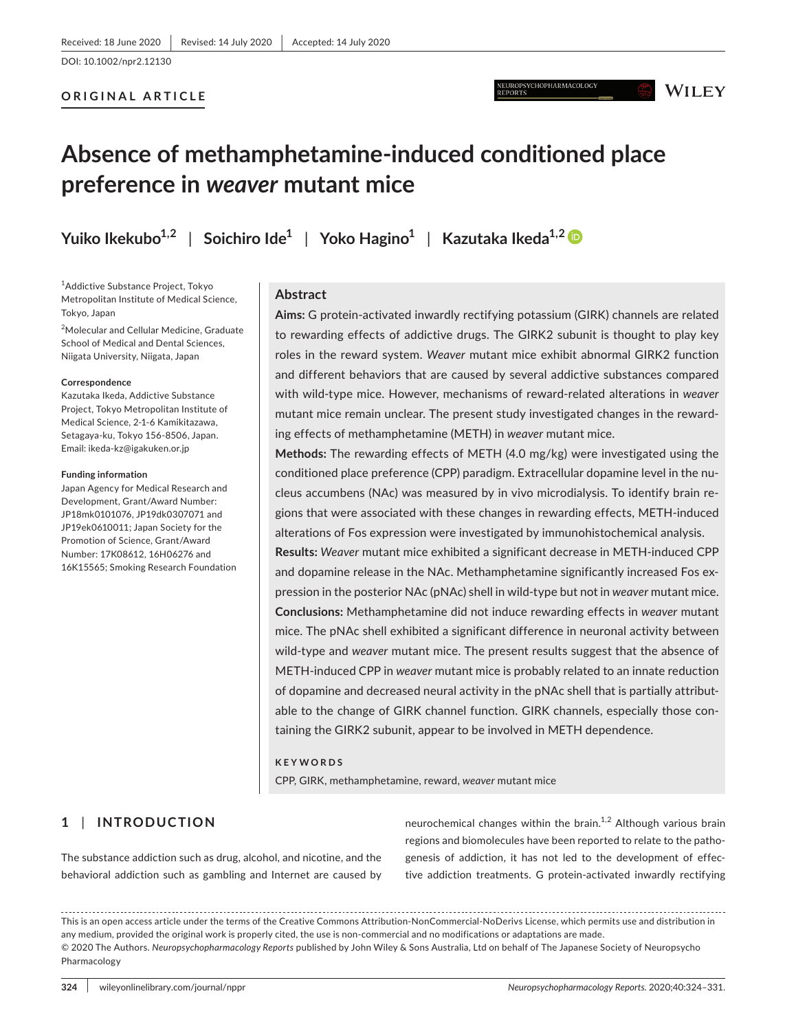DOI: 10.1002/npr2.12130

### **ORIGINAL ARTICLE**

# **Absence of methamphetamine-induced conditioned place preference in** *weaver* **mutant mice**

**Yuiko Ikekubo1,2** | **Soichiro Ide1** | **Yoko Hagino1** | **Kazutaka Ikeda1,2**

1 Addictive Substance Project, Tokyo Metropolitan Institute of Medical Science, Tokyo, Japan

<sup>2</sup>Molecular and Cellular Medicine, Graduate School of Medical and Dental Sciences, Niigata University, Niigata, Japan

#### **Correspondence**

Kazutaka Ikeda, Addictive Substance Project, Tokyo Metropolitan Institute of Medical Science, 2-1-6 Kamikitazawa, Setagaya-ku, Tokyo 156-8506, Japan. Email: [ikeda-kz@igakuken.or.jp](mailto:ikeda-kz@igakuken.or.jp)

#### **Funding information**

Japan Agency for Medical Research and Development, Grant/Award Number: JP18mk0101076, JP19dk0307071 and JP19ek0610011; Japan Society for the Promotion of Science, Grant/Award Number: 17K08612, 16H06276 and 16K15565; Smoking Research Foundation

### **Abstract**

**Aims:** G protein-activated inwardly rectifying potassium (GIRK) channels are related to rewarding effects of addictive drugs. The GIRK2 subunit is thought to play key roles in the reward system. *Weaver* mutant mice exhibit abnormal GIRK2 function and different behaviors that are caused by several addictive substances compared with wild-type mice. However, mechanisms of reward-related alterations in *weaver* mutant mice remain unclear. The present study investigated changes in the rewarding effects of methamphetamine (METH) in *weaver* mutant mice.

**Methods:** The rewarding effects of METH (4.0 mg/kg) were investigated using the conditioned place preference (CPP) paradigm. Extracellular dopamine level in the nucleus accumbens (NAc) was measured by in vivo microdialysis. To identify brain regions that were associated with these changes in rewarding effects, METH-induced alterations of Fos expression were investigated by immunohistochemical analysis.

**Results:** *Weaver* mutant mice exhibited a significant decrease in METH-induced CPP and dopamine release in the NAc. Methamphetamine significantly increased Fos expression in the posterior NAc (pNAc) shell in wild-type but not in *weaver* mutant mice. **Conclusions:** Methamphetamine did not induce rewarding effects in *weaver* mutant mice. The pNAc shell exhibited a significant difference in neuronal activity between wild-type and *weaver* mutant mice. The present results suggest that the absence of METH-induced CPP in *weaver* mutant mice is probably related to an innate reduction of dopamine and decreased neural activity in the pNAc shell that is partially attributable to the change of GIRK channel function. GIRK channels, especially those containing the GIRK2 subunit, appear to be involved in METH dependence.

#### **KEYWORDS**

CPP, GIRK, methamphetamine, reward, *weaver* mutant mice

# **1** | **INTRODUCTION**

The substance addiction such as drug, alcohol, and nicotine, and the behavioral addiction such as gambling and Internet are caused by

neurochemical changes within the brain.<sup>1,2</sup> Although various brain regions and biomolecules have been reported to relate to the pathogenesis of addiction, it has not led to the development of effective addiction treatments. G protein-activated inwardly rectifying

This is an open access article under the terms of the [Creative Commons Attribution-NonCommercial-NoDerivs](http://creativecommons.org/licenses/by-nc-nd/4.0/) License, which permits use and distribution in any medium, provided the original work is properly cited, the use is non-commercial and no modifications or adaptations are made. © 2020 The Authors. *Neuropsychopharmacology Reports* published by John Wiley & Sons Australia, Ltd on behalf of The Japanese Society of Neuropsycho Pharmacology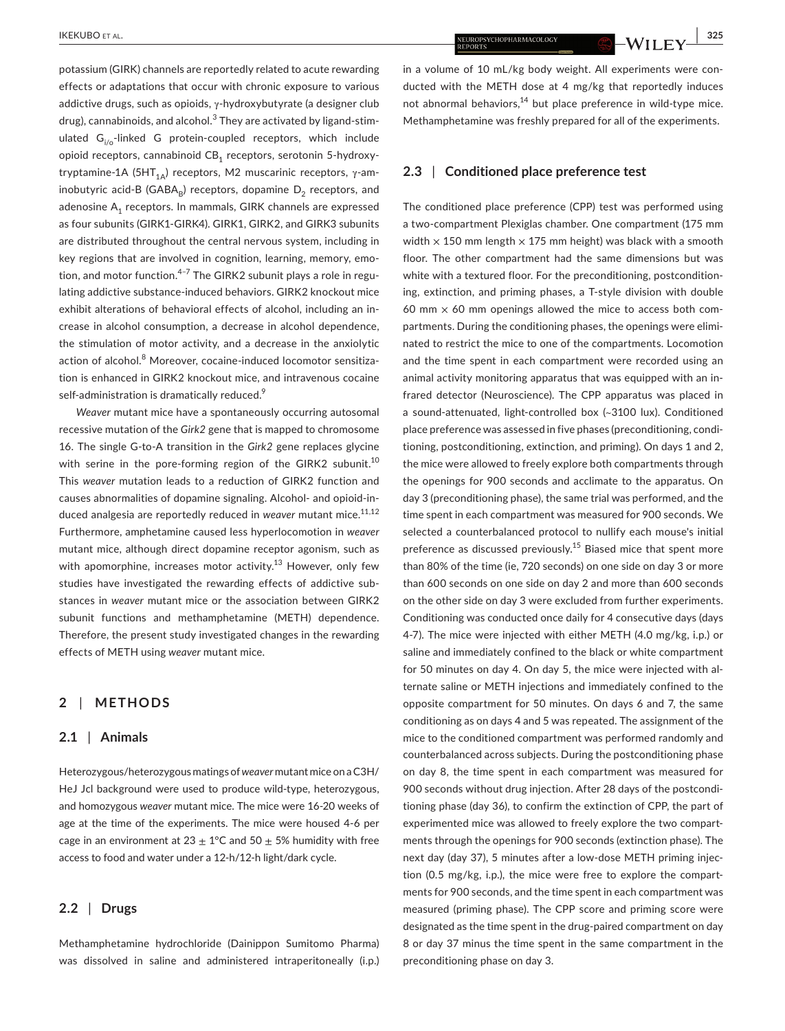potassium (GIRK) channels are reportedly related to acute rewarding effects or adaptations that occur with chronic exposure to various addictive drugs, such as opioids, γ-hydroxybutyrate (a designer club drug), cannabinoids, and alcohol.<sup>3</sup> They are activated by ligand-stimulated  $G_{i/\sigma}$ -linked G protein-coupled receptors, which include opioid receptors, cannabinoid  $CB_1$  receptors, serotonin 5-hydroxytryptamine-1A (5HT<sub>1Δ</sub>) receptors, M2 muscarinic receptors,  $γ$ -aminobutyric acid-B (GABA<sub>R</sub>) receptors, dopamine  $D_2$  receptors, and adenosine  $A_1$  receptors. In mammals, GIRK channels are expressed as four subunits (GIRK1-GIRK4). GIRK1, GIRK2, and GIRK3 subunits are distributed throughout the central nervous system, including in key regions that are involved in cognition, learning, memory, emotion, and motor function. $4-7$  The GIRK2 subunit plays a role in regulating addictive substance-induced behaviors. GIRK2 knockout mice exhibit alterations of behavioral effects of alcohol, including an increase in alcohol consumption, a decrease in alcohol dependence, the stimulation of motor activity, and a decrease in the anxiolytic action of alcohol.<sup>8</sup> Moreover, cocaine-induced locomotor sensitization is enhanced in GIRK2 knockout mice, and intravenous cocaine self-administration is dramatically reduced.<sup>9</sup>

*Weaver* mutant mice have a spontaneously occurring autosomal recessive mutation of the *Girk2* gene that is mapped to chromosome 16. The single G-to-A transition in the *Girk2* gene replaces glycine with serine in the pore-forming region of the GIRK2 subunit.<sup>10</sup> This *weaver* mutation leads to a reduction of GIRK2 function and causes abnormalities of dopamine signaling. Alcohol- and opioid-induced analgesia are reportedly reduced in *weaver* mutant mice.<sup>11,12</sup> Furthermore, amphetamine caused less hyperlocomotion in *weaver* mutant mice, although direct dopamine receptor agonism, such as with apomorphine, increases motor activity. $13$  However, only few studies have investigated the rewarding effects of addictive substances in *weaver* mutant mice or the association between GIRK2 subunit functions and methamphetamine (METH) dependence. Therefore, the present study investigated changes in the rewarding effects of METH using *weaver* mutant mice.

### **2** | **METHODS**

#### **2.1** | **Animals**

Heterozygous/heterozygous matings of *weaver* mutant mice on a C3H/ HeJ Jcl background were used to produce wild-type, heterozygous, and homozygous *weaver* mutant mice. The mice were 16-20 weeks of age at the time of the experiments. The mice were housed 4-6 per cage in an environment at 23  $\pm$  1°C and 50  $\pm$  5% humidity with free access to food and water under a 12-h/12-h light/dark cycle.

### **2.2** | **Drugs**

Methamphetamine hydrochloride (Dainippon Sumitomo Pharma) was dissolved in saline and administered intraperitoneally (i.p.)

**EXALUBO ET AL.** THE STRIKE STRIKE STRIKE STRIKE STRIKE STRIKE STRIKE STRIKE STRIKE STRIKE STRIKE STRIKE STRIKE STRIKE STRIKE STRIKE STRIKE STRIKE STRIKE STRIKE STRIKE STRIKE STRIKE STRIKE STRIKE STRIKE STRIKE STRIKE STRIK

in a volume of 10 mL/kg body weight. All experiments were conducted with the METH dose at 4 mg/kg that reportedly induces not abnormal behaviors, $14$  but place preference in wild-type mice. Methamphetamine was freshly prepared for all of the experiments.

# **2.3** | **Conditioned place preference test**

The conditioned place preference (CPP) test was performed using a two-compartment Plexiglas chamber. One compartment (175 mm width  $\times$  150 mm length  $\times$  175 mm height) was black with a smooth floor. The other compartment had the same dimensions but was white with a textured floor. For the preconditioning, postconditioning, extinction, and priming phases, a T-style division with double 60 mm  $\times$  60 mm openings allowed the mice to access both compartments. During the conditioning phases, the openings were eliminated to restrict the mice to one of the compartments. Locomotion and the time spent in each compartment were recorded using an animal activity monitoring apparatus that was equipped with an infrared detector (Neuroscience). The CPP apparatus was placed in a sound-attenuated, light-controlled box (~3100 lux). Conditioned place preference was assessed in five phases (preconditioning, conditioning, postconditioning, extinction, and priming). On days 1 and 2, the mice were allowed to freely explore both compartments through the openings for 900 seconds and acclimate to the apparatus. On day 3 (preconditioning phase), the same trial was performed, and the time spent in each compartment was measured for 900 seconds. We selected a counterbalanced protocol to nullify each mouse's initial preference as discussed previously.<sup>15</sup> Biased mice that spent more than 80% of the time (ie, 720 seconds) on one side on day 3 or more than 600 seconds on one side on day 2 and more than 600 seconds on the other side on day 3 were excluded from further experiments. Conditioning was conducted once daily for 4 consecutive days (days 4-7). The mice were injected with either METH (4.0 mg/kg, i.p.) or saline and immediately confined to the black or white compartment for 50 minutes on day 4. On day 5, the mice were injected with alternate saline or METH injections and immediately confined to the opposite compartment for 50 minutes. On days 6 and 7, the same conditioning as on days 4 and 5 was repeated. The assignment of the mice to the conditioned compartment was performed randomly and counterbalanced across subjects. During the postconditioning phase on day 8, the time spent in each compartment was measured for 900 seconds without drug injection. After 28 days of the postconditioning phase (day 36), to confirm the extinction of CPP, the part of experimented mice was allowed to freely explore the two compartments through the openings for 900 seconds (extinction phase). The next day (day 37), 5 minutes after a low-dose METH priming injection (0.5 mg/kg, i.p.), the mice were free to explore the compartments for 900 seconds, and the time spent in each compartment was measured (priming phase). The CPP score and priming score were designated as the time spent in the drug-paired compartment on day 8 or day 37 minus the time spent in the same compartment in the preconditioning phase on day 3.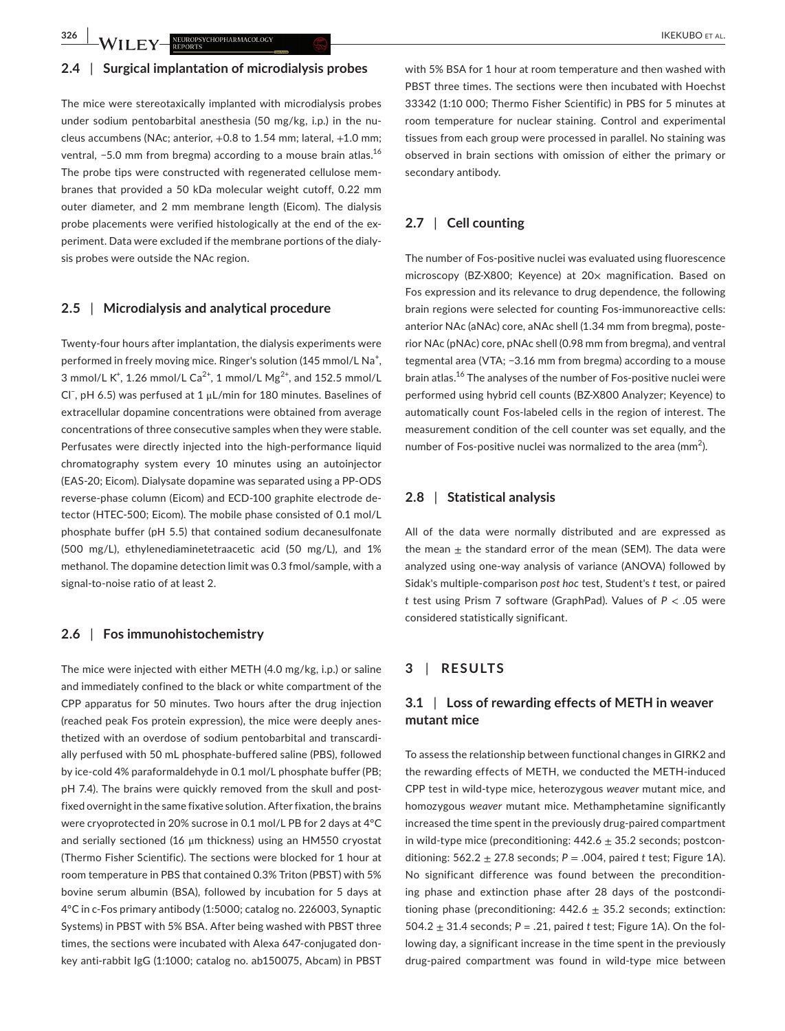**326 WILEY** NEUROPSYCHOPHARMACOLOGY **ALL SECURE 2008 CONTROL** IKEKUBO ET AL.

#### **2.4** | **Surgical implantation of microdialysis probes**

The mice were stereotaxically implanted with microdialysis probes under sodium pentobarbital anesthesia (50 mg/kg, i.p.) in the nucleus accumbens (NAc; anterior, +0.8 to 1.54 mm; lateral, +1.0 mm; ventral, -5.0 mm from bregma) according to a mouse brain atlas.<sup>16</sup> The probe tips were constructed with regenerated cellulose membranes that provided a 50 kDa molecular weight cutoff, 0.22 mm outer diameter, and 2 mm membrane length (Eicom). The dialysis probe placements were verified histologically at the end of the experiment. Data were excluded if the membrane portions of the dialysis probes were outside the NAc region.

### **2.5** | **Microdialysis and analytical procedure**

Twenty-four hours after implantation, the dialysis experiments were performed in freely moving mice. Ringer's solution (145 mmol/L Na<sup>+</sup>, 3 mmol/L K<sup>+</sup>, 1.26 mmol/L Ca<sup>2+</sup>, 1 mmol/L Mg<sup>2+</sup>, and 152.5 mmol/L Cl− , pH 6.5) was perfused at 1 μL/min for 180 minutes. Baselines of extracellular dopamine concentrations were obtained from average concentrations of three consecutive samples when they were stable. Perfusates were directly injected into the high-performance liquid chromatography system every 10 minutes using an autoinjector (EAS-20; Eicom). Dialysate dopamine was separated using a PP-ODS reverse-phase column (Eicom) and ECD-100 graphite electrode detector (HTEC-500; Eicom). The mobile phase consisted of 0.1 mol/L phosphate buffer (pH 5.5) that contained sodium decanesulfonate (500 mg/L), ethylenediaminetetraacetic acid (50 mg/L), and 1% methanol. The dopamine detection limit was 0.3 fmol/sample, with a signal-to-noise ratio of at least 2.

### **2.6** | **Fos immunohistochemistry**

The mice were injected with either METH (4.0 mg/kg, i.p.) or saline and immediately confined to the black or white compartment of the CPP apparatus for 50 minutes. Two hours after the drug injection (reached peak Fos protein expression), the mice were deeply anesthetized with an overdose of sodium pentobarbital and transcardially perfused with 50 mL phosphate-buffered saline (PBS), followed by ice-cold 4% paraformaldehyde in 0.1 mol/L phosphate buffer (PB; pH 7.4). The brains were quickly removed from the skull and postfixed overnight in the same fixative solution. After fixation, the brains were cryoprotected in 20% sucrose in 0.1 mol/L PB for 2 days at 4°C and serially sectioned (16 μm thickness) using an HM550 cryostat (Thermo Fisher Scientific). The sections were blocked for 1 hour at room temperature in PBS that contained 0.3% Triton (PBST) with 5% bovine serum albumin (BSA), followed by incubation for 5 days at 4°C in c-Fos primary antibody (1:5000; catalog no. 226003, Synaptic Systems) in PBST with 5% BSA. After being washed with PBST three times, the sections were incubated with Alexa 647-conjugated donkey anti-rabbit IgG (1:1000; catalog no. ab150075, Abcam) in PBST

with 5% BSA for 1 hour at room temperature and then washed with PBST three times. The sections were then incubated with Hoechst 33342 (1:10 000; Thermo Fisher Scientific) in PBS for 5 minutes at room temperature for nuclear staining. Control and experimental tissues from each group were processed in parallel. No staining was observed in brain sections with omission of either the primary or secondary antibody.

# **2.7** | **Cell counting**

The number of Fos-positive nuclei was evaluated using fluorescence microscopy (BZ-X800; Keyence) at 20x magnification. Based on Fos expression and its relevance to drug dependence, the following brain regions were selected for counting Fos-immunoreactive cells: anterior NAc (aNAc) core, aNAc shell (1.34 mm from bregma), posterior NAc (pNAc) core, pNAc shell (0.98 mm from bregma), and ventral tegmental area (VTA; −3.16 mm from bregma) according to a mouse brain atlas.<sup>16</sup> The analyses of the number of Fos-positive nuclei were performed using hybrid cell counts (BZ-X800 Analyzer; Keyence) to automatically count Fos-labeled cells in the region of interest. The measurement condition of the cell counter was set equally, and the number of Fos-positive nuclei was normalized to the area (mm $^2$ ).

### **2.8** | **Statistical analysis**

All of the data were normally distributed and are expressed as the mean  $\pm$  the standard error of the mean (SEM). The data were analyzed using one-way analysis of variance (ANOVA) followed by Sidak's multiple-comparison *post hoc* test, Student's *t* test, or paired *t* test using Prism 7 software (GraphPad). Values of *P* < .05 were considered statistically significant.

### **3** | **RESULTS**

# **3.1** | **Loss of rewarding effects of METH in weaver mutant mice**

To assess the relationship between functional changes in GIRK2 and the rewarding effects of METH, we conducted the METH-induced CPP test in wild-type mice, heterozygous *weaver* mutant mice, and homozygous *weaver* mutant mice. Methamphetamine significantly increased the time spent in the previously drug-paired compartment in wild-type mice (preconditioning:  $442.6 \pm 35.2$  seconds; postconditioning: 562.2 ± 27.8 seconds; *P* = .004, paired *t* test; Figure 1A). No significant difference was found between the preconditioning phase and extinction phase after 28 days of the postconditioning phase (preconditioning:  $442.6 \pm 35.2$  seconds; extinction: 504.2  $\pm$  31.4 seconds;  $P = .21$ , paired t test; Figure 1A). On the following day, a significant increase in the time spent in the previously drug-paired compartment was found in wild-type mice between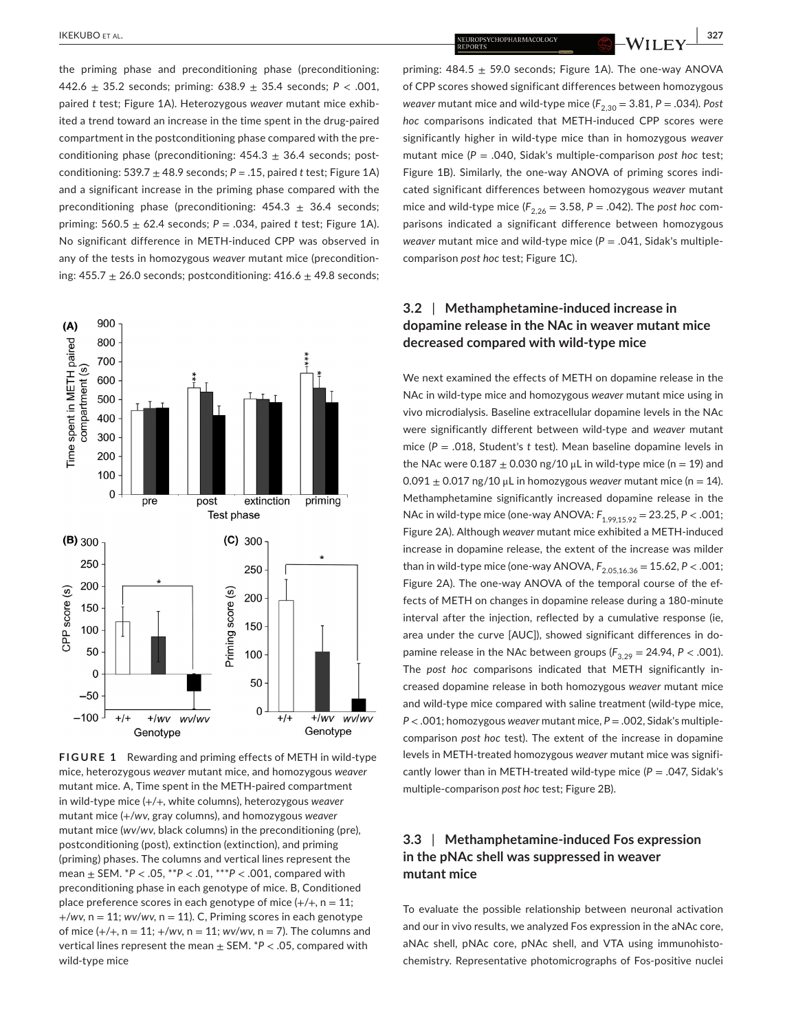the priming phase and preconditioning phase (preconditioning: 442.6 ± 35.2 seconds; priming: 638.9 ± 35.4 seconds; *P* < .001, paired *t* test; Figure 1A). Heterozygous *weaver* mutant mice exhibited a trend toward an increase in the time spent in the drug-paired compartment in the postconditioning phase compared with the preconditioning phase (preconditioning:  $454.3 \pm 36.4$  seconds; postconditioning:  $539.7 \pm 48.9$  seconds;  $P = .15$ , paired *t* test; Figure 1A) and a significant increase in the priming phase compared with the

preconditioning phase (preconditioning:  $454.3 \pm 36.4$  seconds; priming: 560.5 ± 62.4 seconds; *P* = .034, paired *t* test; Figure 1A). No significant difference in METH-induced CPP was observed in any of the tests in homozygous *weaver* mutant mice (preconditioning:  $455.7 \pm 26.0$  seconds; postconditioning:  $416.6 \pm 49.8$  seconds;



**FIGURE 1** Rewarding and priming effects of METH in wild-type mice, heterozygous *weaver* mutant mice, and homozygous *weaver* mutant mice. A, Time spent in the METH-paired compartment in wild-type mice (+/+, white columns), heterozygous *weaver* mutant mice (+/*wv*, gray columns), and homozygous *weaver* mutant mice (*wv*/*wv*, black columns) in the preconditioning (pre), postconditioning (post), extinction (extinction), and priming (priming) phases. The columns and vertical lines represent the mean ± SEM. \**P* < .05, \*\**P* < .01, \*\*\**P* < .001, compared with preconditioning phase in each genotype of mice. B, Conditioned place preference scores in each genotype of mice  $\left\{\frac{+}{+}, n = 11\right\}$ ;  $+$ /wv,  $n = 11$ ; *wv*/wv,  $n = 11$ ). C, Priming scores in each genotype of mice (+/+, n = 11; +/*wv*, n = 11; *wv*/*wv*, n = 7). The columns and vertical lines represent the mean ± SEM. \**P* < .05, compared with wild-type mice

**IKEKUBO** et al. **327 18. IKEKUBO et al. <b>327 18. IKERUBO et al. 1327 327 18. IKERUBO et al. 1327 327** 

priming:  $484.5 + 59.0$  seconds: Figure 1A). The one-way ANOVA of CPP scores showed significant differences between homozygous *weaver* mutant mice and wild-type mice  $(F_{2,30} = 3.81, P = .034)$ . Post *hoc* comparisons indicated that METH-induced CPP scores were significantly higher in wild-type mice than in homozygous *weaver* mutant mice (*P* = .040, Sidak's multiple-comparison *post hoc* test; Figure 1B). Similarly, the one-way ANOVA of priming scores indicated significant differences between homozygous *weaver* mutant mice and wild-type mice  $(F_{2,26} = 3.58, P = .042)$ . The *post hoc* comparisons indicated a significant difference between homozygous *weaver* mutant mice and wild-type mice (*P* = .041, Sidak's multiplecomparison *post hoc* test; Figure 1C).

# **3.2** | **Methamphetamine-induced increase in dopamine release in the NAc in weaver mutant mice decreased compared with wild-type mice**

We next examined the effects of METH on dopamine release in the NAc in wild-type mice and homozygous *weaver* mutant mice using in vivo microdialysis. Baseline extracellular dopamine levels in the NAc were significantly different between wild-type and *weaver* mutant mice (*P* = .018, Student's *t* test). Mean baseline dopamine levels in the NAc were  $0.187 \pm 0.030$  ng/10  $\mu$ L in wild-type mice (n = 19) and  $0.091 \pm 0.017$  ng/10 μL in homozygous *weaver* mutant mice (n = 14). Methamphetamine significantly increased dopamine release in the NAc in wild-type mice (one-way ANOVA: *F*1.99,15.92 = 23.25, *P* < .001; Figure 2A). Although *weaver* mutant mice exhibited a METH-induced increase in dopamine release, the extent of the increase was milder than in wild-type mice (one-way ANOVA,  $F_{2.05,16.36} = 15.62$ ,  $P < .001$ ; Figure 2A). The one-way ANOVA of the temporal course of the effects of METH on changes in dopamine release during a 180-minute interval after the injection, reflected by a cumulative response (ie, area under the curve [AUC]), showed significant differences in dopamine release in the NAc between groups  $(F_{3,29} = 24.94, P < .001)$ . The *post hoc* comparisons indicated that METH significantly increased dopamine release in both homozygous *weaver* mutant mice and wild-type mice compared with saline treatment (wild-type mice, *P* < .001; homozygous *weaver* mutant mice, *P* = .002, Sidak's multiplecomparison *post hoc* test). The extent of the increase in dopamine levels in METH-treated homozygous *weaver* mutant mice was significantly lower than in METH-treated wild-type mice  $(P = .047, Sidak's$ multiple-comparison *post hoc* test; Figure 2B).

# **3.3** | **Methamphetamine-induced Fos expression in the pNAc shell was suppressed in weaver mutant mice**

To evaluate the possible relationship between neuronal activation and our in vivo results, we analyzed Fos expression in the aNAc core, aNAc shell, pNAc core, pNAc shell, and VTA using immunohistochemistry. Representative photomicrographs of Fos-positive nuclei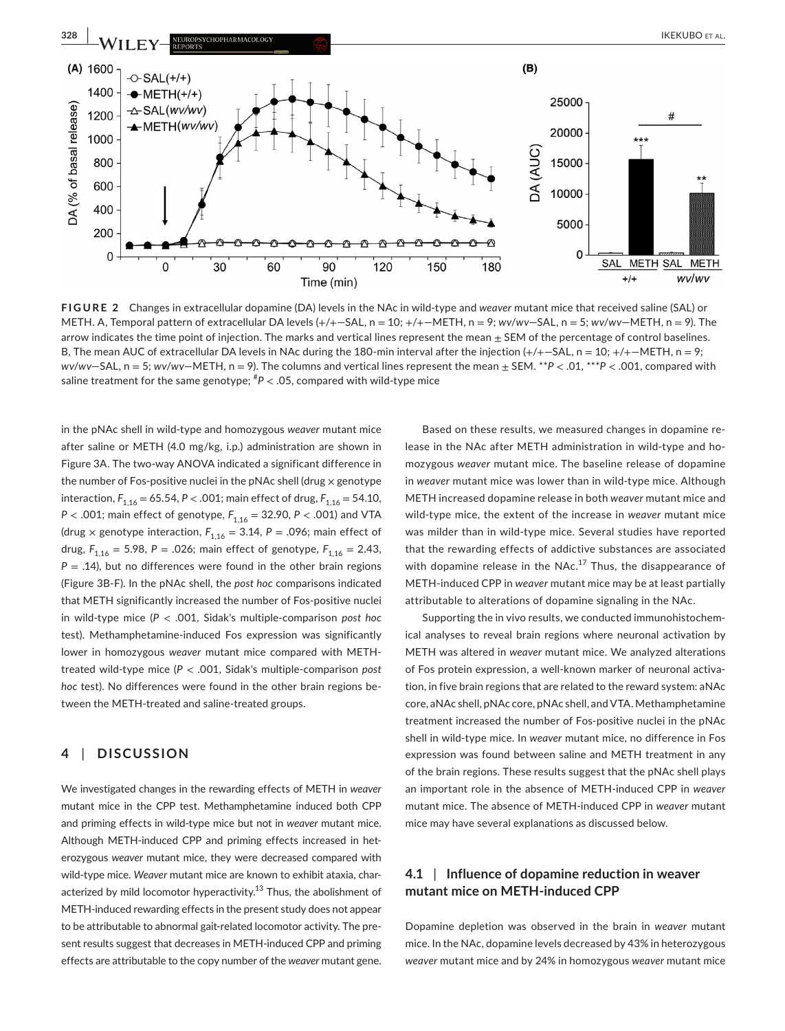

**FIGURE 2** Changes in extracellular dopamine (DA) levels in the NAc in wild-type and *weaver* mutant mice that received saline (SAL) or METH. A, Temporal pattern of extracellular DA levels (+/+—SAL, n = 10; +/+—METH, n = 9; *wv*/*wv*—SAL, n = 5; *wv*/*wv*—METH, n = 9). The arrow indicates the time point of injection. The marks and vertical lines represent the mean  $\pm$  SEM of the percentage of control baselines. B, The mean AUC of extracellular DA levels in NAc during the 180-min interval after the injection  $\left(+/+-\text{SAL}, n=10; +/+-\text{METH}, n=9; +0\right)$ *wv*/*wv*—SAL, n = 5; *wv*/*wv*—METH, n = 9). The columns and vertical lines represent the mean ± SEM. \*\**P* < .01, \*\*\**P* < .001, compared with saline treatment for the same genotype; # *P* < .05, compared with wild-type mice

in the pNAc shell in wild-type and homozygous *weaver* mutant mice after saline or METH (4.0 mg/kg, i.p.) administration are shown in Figure 3A. The two-way ANOVA indicated a significant difference in the number of Fos-positive nuclei in the pNAc shell (drug  $\times$  genotype interaction,  $F_{1,16} = 65.54$ ,  $P < .001$ ; main effect of drug,  $F_{1,16} = 54.10$ , *P* < .001; main effect of genotype,  $F_{1,16}$  = 32.90, *P* < .001) and VTA (drug  $\times$  genotype interaction,  $F_{1,16} = 3.14$ ,  $P = .096$ ; main effect of drug,  $F_{1,16} = 5.98$ ,  $P = .026$ ; main effect of genotype,  $F_{1,16} = 2.43$ ,  $P = .14$ ), but no differences were found in the other brain regions (Figure 3B-F). In the pNAc shell, the *post hoc* comparisons indicated that METH significantly increased the number of Fos-positive nuclei in wild-type mice (*P* < .001, Sidak's multiple-comparison *post hoc* test). Methamphetamine-induced Fos expression was significantly lower in homozygous *weaver* mutant mice compared with METHtreated wild-type mice (*P* < .001, Sidak's multiple-comparison *post hoc* test). No differences were found in the other brain regions between the METH-treated and saline-treated groups.

# **4** | **DISCUSSION**

We investigated changes in the rewarding effects of METH in *weaver* mutant mice in the CPP test. Methamphetamine induced both CPP and priming effects in wild-type mice but not in *weaver* mutant mice. Although METH-induced CPP and priming effects increased in heterozygous *weaver* mutant mice, they were decreased compared with wild-type mice. *Weaver* mutant mice are known to exhibit ataxia, characterized by mild locomotor hyperactivity.<sup>13</sup> Thus, the abolishment of METH-induced rewarding effects in the present study does not appear to be attributable to abnormal gait-related locomotor activity. The present results suggest that decreases in METH-induced CPP and priming effects are attributable to the copy number of the *weaver* mutant gene.

Based on these results, we measured changes in dopamine release in the NAc after METH administration in wild-type and homozygous *weaver* mutant mice. The baseline release of dopamine in *weaver* mutant mice was lower than in wild-type mice. Although METH increased dopamine release in both *weaver* mutant mice and wild-type mice, the extent of the increase in *weaver* mutant mice was milder than in wild-type mice. Several studies have reported that the rewarding effects of addictive substances are associated with dopamine release in the  $NAC.<sup>17</sup>$  Thus, the disappearance of METH-induced CPP in *weaver* mutant mice may be at least partially attributable to alterations of dopamine signaling in the NAc.

Supporting the in vivo results, we conducted immunohistochemical analyses to reveal brain regions where neuronal activation by METH was altered in *weaver* mutant mice. We analyzed alterations of Fos protein expression, a well-known marker of neuronal activation, in five brain regions that are related to the reward system: aNAc core, aNAc shell, pNAc core, pNAc shell, and VTA. Methamphetamine treatment increased the number of Fos-positive nuclei in the pNAc shell in wild-type mice. In *weaver* mutant mice, no difference in Fos expression was found between saline and METH treatment in any of the brain regions. These results suggest that the pNAc shell plays an important role in the absence of METH-induced CPP in *weaver* mutant mice. The absence of METH-induced CPP in *weaver* mutant mice may have several explanations as discussed below.

# **4.1** | **Influence of dopamine reduction in weaver mutant mice on METH-induced CPP**

Dopamine depletion was observed in the brain in *weaver* mutant mice. In the NAc, dopamine levels decreased by 43% in heterozygous *weaver* mutant mice and by 24% in homozygous *weaver* mutant mice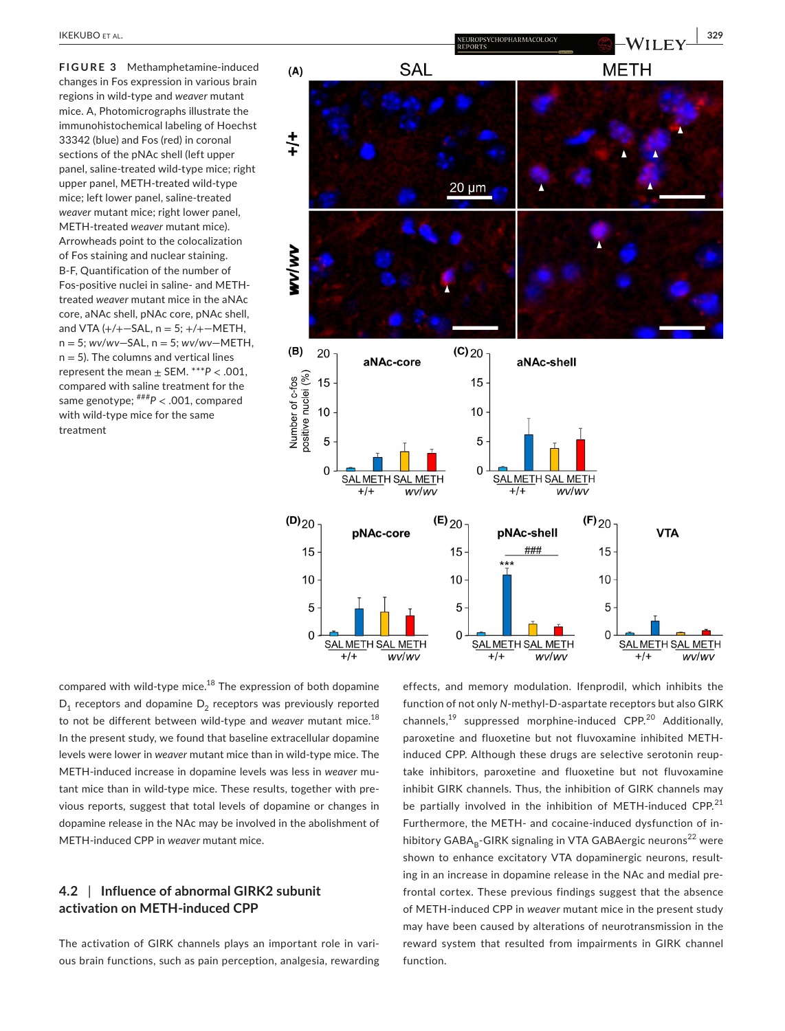**FIGURE 3** Methamphetamine-induced changes in Fos expression in various brain regions in wild-type and *weaver* mutant mice. A, Photomicrographs illustrate the immunohistochemical labeling of Hoechst 33342 (blue) and Fos (red) in coronal sections of the pNAc shell (left upper panel, saline-treated wild-type mice; right upper panel, METH-treated wild-type mice; left lower panel, saline-treated *weaver* mutant mice; right lower panel, METH-treated *weaver* mutant mice). Arrowheads point to the colocalization of Fos staining and nuclear staining. B-F, Quantification of the number of Fos-positive nuclei in saline- and METHtreated *weaver* mutant mice in the aNAc core, aNAc shell, pNAc core, pNAc shell, and VTA  $(+/+- SAL, n = 5; ++/+-METH,$ n = 5; *wv*/*wv*—SAL, n = 5; *wv*/*wv*—METH,  $n = 5$ ). The columns and vertical lines represent the mean  $\pm$  SEM. \*\*\* $P < .001$ , compared with saline treatment for the same genotype; ###*P* < .001, compared with wild-type mice for the same treatment



compared with wild-type mice. $18$  The expression of both dopamine  $D_1$  receptors and dopamine  $D_2$  receptors was previously reported to not be different between wild-type and *weaver* mutant mice.<sup>18</sup> In the present study, we found that baseline extracellular dopamine levels were lower in *weaver* mutant mice than in wild-type mice. The METH-induced increase in dopamine levels was less in *weaver* mutant mice than in wild-type mice. These results, together with previous reports, suggest that total levels of dopamine or changes in dopamine release in the NAc may be involved in the abolishment of METH-induced CPP in *weaver* mutant mice.

# **4.2** | **Influence of abnormal GIRK2 subunit activation on METH-induced CPP**

The activation of GIRK channels plays an important role in various brain functions, such as pain perception, analgesia, rewarding effects, and memory modulation. Ifenprodil, which inhibits the function of not only *N*-methyl-D-aspartate receptors but also GIRK channels,<sup>19</sup> suppressed morphine-induced CPP.<sup>20</sup> Additionally, paroxetine and fluoxetine but not fluvoxamine inhibited METHinduced CPP. Although these drugs are selective serotonin reuptake inhibitors, paroxetine and fluoxetine but not fluvoxamine inhibit GIRK channels. Thus, the inhibition of GIRK channels may be partially involved in the inhibition of METH-induced CPP. $21$ Furthermore, the METH- and cocaine-induced dysfunction of inhibitory  $GABA_B-GIRK$  signaling in VTA GABAergic neurons<sup>22</sup> were shown to enhance excitatory VTA dopaminergic neurons, resulting in an increase in dopamine release in the NAc and medial prefrontal cortex. These previous findings suggest that the absence of METH-induced CPP in *weaver* mutant mice in the present study may have been caused by alterations of neurotransmission in the reward system that resulted from impairments in GIRK channel function.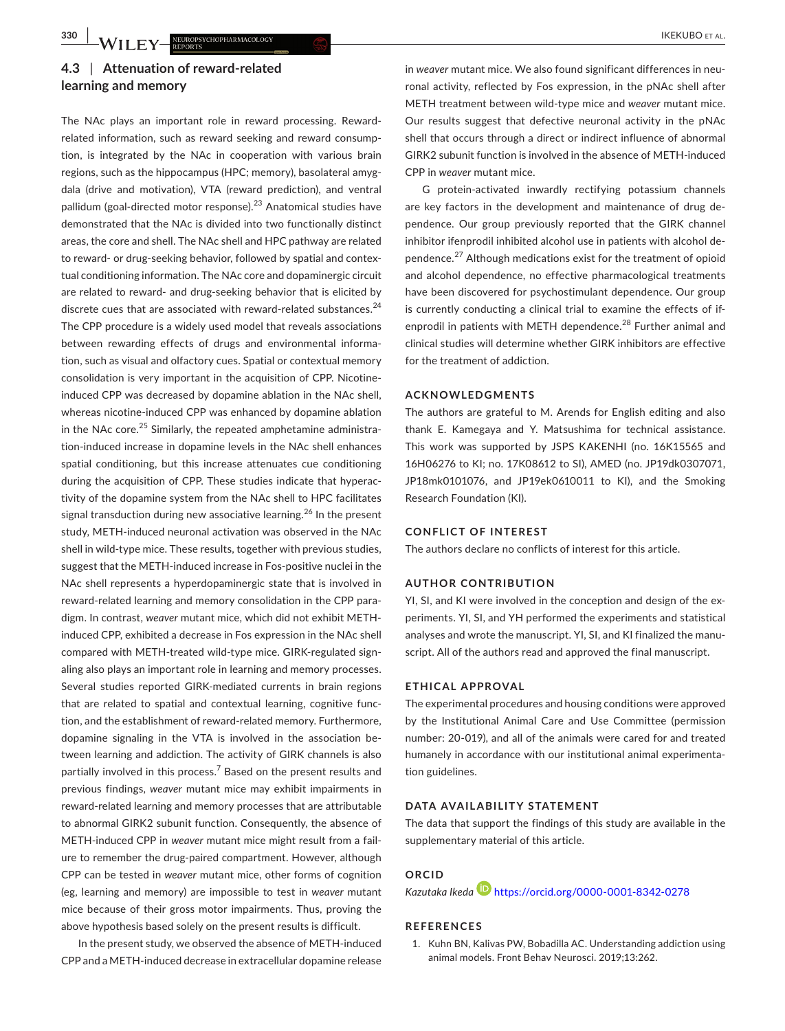# **4.3** | **Attenuation of reward-related learning and memory**

The NAc plays an important role in reward processing. Rewardrelated information, such as reward seeking and reward consumption, is integrated by the NAc in cooperation with various brain regions, such as the hippocampus (HPC; memory), basolateral amygdala (drive and motivation), VTA (reward prediction), and ventral pallidum (goal-directed motor response).23 Anatomical studies have demonstrated that the NAc is divided into two functionally distinct areas, the core and shell. The NAc shell and HPC pathway are related to reward- or drug-seeking behavior, followed by spatial and contextual conditioning information. The NAc core and dopaminergic circuit are related to reward- and drug-seeking behavior that is elicited by discrete cues that are associated with reward-related substances.<sup>24</sup> The CPP procedure is a widely used model that reveals associations between rewarding effects of drugs and environmental information, such as visual and olfactory cues. Spatial or contextual memory consolidation is very important in the acquisition of CPP. Nicotineinduced CPP was decreased by dopamine ablation in the NAc shell, whereas nicotine-induced CPP was enhanced by dopamine ablation in the NAc core. $25$  Similarly, the repeated amphetamine administration-induced increase in dopamine levels in the NAc shell enhances spatial conditioning, but this increase attenuates cue conditioning during the acquisition of CPP. These studies indicate that hyperactivity of the dopamine system from the NAc shell to HPC facilitates signal transduction during new associative learning.<sup>26</sup> In the present study, METH-induced neuronal activation was observed in the NAc shell in wild-type mice. These results, together with previous studies, suggest that the METH-induced increase in Fos-positive nuclei in the NAc shell represents a hyperdopaminergic state that is involved in reward-related learning and memory consolidation in the CPP paradigm. In contrast, *weaver* mutant mice, which did not exhibit METHinduced CPP, exhibited a decrease in Fos expression in the NAc shell compared with METH-treated wild-type mice. GIRK-regulated signaling also plays an important role in learning and memory processes. Several studies reported GIRK-mediated currents in brain regions that are related to spatial and contextual learning, cognitive function, and the establishment of reward-related memory. Furthermore, dopamine signaling in the VTA is involved in the association between learning and addiction. The activity of GIRK channels is also partially involved in this process. $7$  Based on the present results and previous findings, *weaver* mutant mice may exhibit impairments in reward-related learning and memory processes that are attributable to abnormal GIRK2 subunit function. Consequently, the absence of METH-induced CPP in *weaver* mutant mice might result from a failure to remember the drug-paired compartment. However, although CPP can be tested in *weaver* mutant mice, other forms of cognition (eg, learning and memory) are impossible to test in *weaver* mutant mice because of their gross motor impairments. Thus, proving the above hypothesis based solely on the present results is difficult.

In the present study, we observed the absence of METH-induced CPP and a METH-induced decrease in extracellular dopamine release

in *weaver* mutant mice. We also found significant differences in neuronal activity, reflected by Fos expression, in the pNAc shell after METH treatment between wild-type mice and *weaver* mutant mice. Our results suggest that defective neuronal activity in the pNAc shell that occurs through a direct or indirect influence of abnormal GIRK2 subunit function is involved in the absence of METH-induced CPP in *weaver* mutant mice.

G protein-activated inwardly rectifying potassium channels are key factors in the development and maintenance of drug dependence. Our group previously reported that the GIRK channel inhibitor ifenprodil inhibited alcohol use in patients with alcohol dependence.27 Although medications exist for the treatment of opioid and alcohol dependence, no effective pharmacological treatments have been discovered for psychostimulant dependence. Our group is currently conducting a clinical trial to examine the effects of ifenprodil in patients with METH dependence.<sup>28</sup> Further animal and clinical studies will determine whether GIRK inhibitors are effective for the treatment of addiction.

### **ACKNOWLEDGMENTS**

The authors are grateful to M. Arends for English editing and also thank E. Kamegaya and Y. Matsushima for technical assistance. This work was supported by JSPS KAKENHI (no. 16K15565 and 16H06276 to KI; no. 17K08612 to SI), AMED (no. JP19dk0307071, JP18mk0101076, and JP19ek0610011 to KI), and the Smoking Research Foundation (KI).

#### **CONFLICT OF INTEREST**

The authors declare no conflicts of interest for this article.

#### **AUTHOR CONTRIBUTION**

YI, SI, and KI were involved in the conception and design of the experiments. YI, SI, and YH performed the experiments and statistical analyses and wrote the manuscript. YI, SI, and KI finalized the manuscript. All of the authors read and approved the final manuscript.

#### **ETHICAL APPROVAL**

The experimental procedures and housing conditions were approved by the Institutional Animal Care and Use Committee (permission number: 20-019), and all of the animals were cared for and treated humanely in accordance with our institutional animal experimentation guidelines.

#### **DATA AVAILABILITY STATEMENT**

The data that support the findings of this study are available in the supplementary material of this article.

### **ORCID**

*Kazutaka Ikeda* <https://orcid.org/0000-0001-8342-0278>

#### **REFERENCES**

1. Kuhn BN, Kalivas PW, Bobadilla AC. Understanding addiction using animal models. Front Behav Neurosci. 2019;13:262.